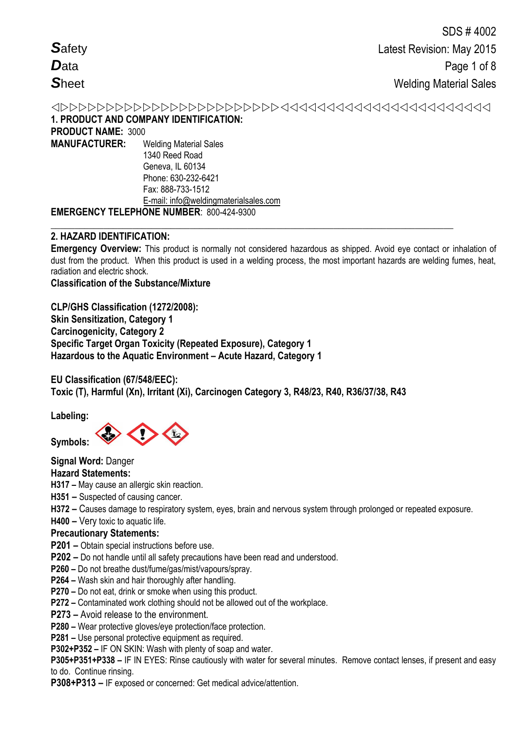## **1. PRODUCT AND COMPANY IDENTIFICATION: PRODUCT NAME:** 3000 **MANUFACTURER:** Welding Material Sales 1340 Reed Road

Geneva, IL 60134 Phone: 630-232-6421 Fax: 888-733-1512 E-mail: info@weldingmaterialsales.com

#### **EMERGENCY TELEPHONE NUMBER**: 800-424-9300 **\_\_\_\_\_\_\_\_\_\_\_\_\_\_\_\_\_\_\_\_\_\_\_\_\_\_\_\_\_\_\_\_\_\_\_\_\_\_\_\_\_\_\_\_\_\_\_\_\_\_\_\_\_\_\_\_\_\_\_\_\_\_\_\_\_\_\_\_\_\_\_\_\_\_\_\_\_\_\_\_\_\_\_\_**

## **2. HAZARD IDENTIFICATION:**

**Emergency Overview:** This product is normally not considered hazardous as shipped. Avoid eye contact or inhalation of dust from the product. When this product is used in a welding process, the most important hazards are welding fumes, heat, radiation and electric shock.

## **Classification of the Substance/Mixture**

**CLP/GHS Classification (1272/2008): Skin Sensitization, Category 1 Carcinogenicity, Category 2 Specific Target Organ Toxicity (Repeated Exposure), Category 1 Hazardous to the Aquatic Environment – Acute Hazard, Category 1** 

#### **EU Classification (67/548/EEC): Toxic (T), Harmful (Xn), Irritant (Xi), Carcinogen Category 3, R48/23, R40, R36/37/38, R43**

**Labeling:** 

**Symbols:** 

**Signal Word:** Danger

## **Hazard Statements:**

**H317 –** May cause an allergic skin reaction.

- **H351 –** Suspected of causing cancer.
- **H372 –** Causes damage to respiratory system, eyes, brain and nervous system through prolonged or repeated exposure.

**H400 –** Very toxic to aquatic life.

## **Precautionary Statements:**

- **P201 –** Obtain special instructions before use.
- **P202 –** Do not handle until all safety precautions have been read and understood.
- **P260 –** Do not breathe dust/fume/gas/mist/vapours/spray.
- **P264 –** Wash skin and hair thoroughly after handling.
- **P270 –** Do not eat, drink or smoke when using this product.
- **P272 –** Contaminated work clothing should not be allowed out of the workplace.
- **P273 –** Avoid release to the environment.
- **P280 –** Wear protective gloves/eye protection/face protection.
- **P281 –** Use personal protective equipment as required.
- **P302+P352 –** IF ON SKIN: Wash with plenty of soap and water.

**P305+P351+P338 –** IF IN EYES: Rinse cautiously with water for several minutes. Remove contact lenses, if present and easy to do. Continue rinsing.

**P308+P313 –** IF exposed or concerned: Get medical advice/attention.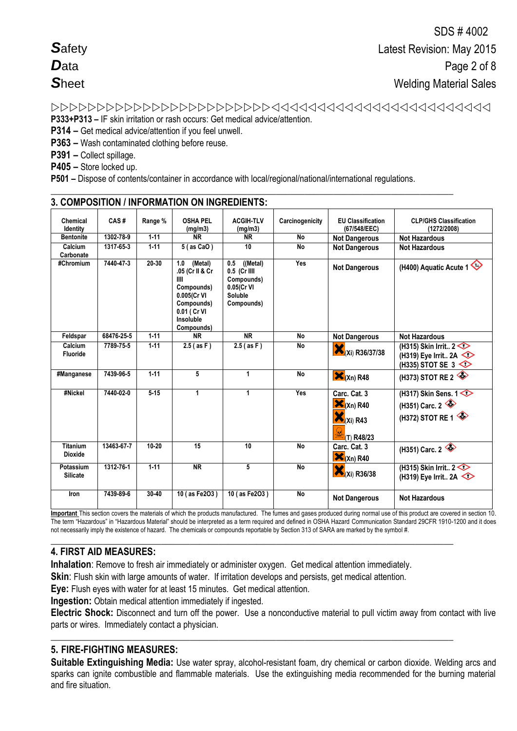| <b>Safety</b> |  |
|---------------|--|
| $\bm{D}$ ata  |  |
| Sheet         |  |

## **P333+P313 –** IF skin irritation or rash occurs: Get medical advice/attention.

**P314 –** Get medical advice/attention if you feel unwell.

**P363 –** Wash contaminated clothing before reuse.

**P391 –** Collect spillage.

**P405 –** Store locked up.

**P501 –** Dispose of contents/container in accordance with local/regional/national/international regulations.

|                                   |                        |           | 3. COMPOSITION / INFORMATION ON INGREDIENTS:                                                                                   |                                                                                      |                 |                                                                        |                                                                                   |
|-----------------------------------|------------------------|-----------|--------------------------------------------------------------------------------------------------------------------------------|--------------------------------------------------------------------------------------|-----------------|------------------------------------------------------------------------|-----------------------------------------------------------------------------------|
| Chemical<br>Identity              | CAS#                   | Range %   | <b>OSHA PEL</b><br>(mg/m3)                                                                                                     | <b>ACGIH-TLV</b><br>(mg/m3)                                                          | Carcinogenicity | <b>EU Classification</b><br>(67/548/EEC)                               | <b>CLP/GHS Classification</b><br>(1272/2008)                                      |
| <b>Bentonite</b>                  | 1302-78-9              | $1 - 11$  | <b>NR</b>                                                                                                                      | <b>NR</b>                                                                            | No              | <b>Not Dangerous</b>                                                   | <b>Not Hazardous</b>                                                              |
| Calcium<br>Carbonate              | $\overline{1317-65-3}$ | $1-11$    | 5 (as CaO)                                                                                                                     | 10                                                                                   | <b>No</b>       | <b>Not Dangerous</b>                                                   | <b>Not Hazardous</b>                                                              |
| #Chromium                         | 7440-47-3              | 20-30     | (Metal)<br>1.0<br>.05 (Cr II & Cr<br>III<br>Compounds)<br>0.005(Cr VI<br>Compounds)<br>0.01 ( Cr VI<br>Insoluble<br>Compounds) | ((Metal)<br>0.5<br>0.5 (Cr IIII<br>Compounds)<br>0.05(Cr VI<br>Soluble<br>Compounds) | Yes             | <b>Not Dangerous</b>                                                   | (H400) Aquatic Acute 1                                                            |
| Feldspar                          | 68476-25-5             | $1 - 11$  | <b>NR</b>                                                                                                                      | <b>NR</b>                                                                            | No              | <b>Not Dangerous</b>                                                   | <b>Not Hazardous</b>                                                              |
| Calcium<br>Fluoride               | 7789-75-5              | $1-11$    | $2.5$ (as F)                                                                                                                   | $2.5$ (as F)                                                                         | <b>No</b>       | $\mathbf{X}_{(Xi)}$ R36/37/38                                          | (H315) Skin Irrit $2 \leq 1$<br>(H319) Eye Irrit 2A<br>(H335) STOT SE 3           |
| #Manganese                        | 7439-96-5              | $1 - 11$  | 5                                                                                                                              | 1                                                                                    | No              | $\mathbf{X}_{(Xn)R48}$                                                 | (H373) STOT RE 2                                                                  |
| #Nickel                           | 7440-02-0              | $5 - 15$  | 1                                                                                                                              | 1                                                                                    | Yes             | Carc. Cat. 3<br>$\mathbf{X}_{(Xn)R40}$<br>$X_{(Xi) R43}$<br>(T) R48/23 | (H317) Skin Sens. $1 \diamondsuit$<br>(H351) Carc. $2 \leq 1$<br>(H372) STOT RE 1 |
| <b>Titanium</b><br><b>Dioxide</b> | 13463-67-7             | $10 - 20$ | 15                                                                                                                             | 10                                                                                   | <b>No</b>       | Carc. Cat. 3<br>$\mathbf{X}_{(Xn)R40}$                                 | (H351) Carc. $2 \leqslant$                                                        |
| Potassium<br><b>Silicate</b>      | 1312-76-1              | $1 - 11$  | $\overline{\text{NR}}$                                                                                                         | 5                                                                                    | <b>No</b>       | $\mathbf{X}$ <sub>(Xi)</sub> R36/38                                    | (H315) Skin Irrit $2 \leq$<br>(H319) Eye Irrit 2A                                 |
| Iron                              | 7439-89-6              | $30 - 40$ | 10 (as Fe2O3)                                                                                                                  | 10 (as Fe2O3)                                                                        | <b>No</b>       | <b>Not Dangerous</b>                                                   | <b>Not Hazardous</b>                                                              |

Important This section covers the materials of which the products manufactured. The fumes and gases produced during normal use of this product are covered in section 10. The term "Hazardous" in "Hazardous Material" should be interpreted as a term required and defined in OSHA Hazard Communication Standard 29CFR 1910-1200 and it does not necessarily imply the existence of hazard. The chemicals or compounds reportable by Section 313 of SARA are marked by the symbol #.

## **4. FIRST AID MEASURES:**

**Inhalation**: Remove to fresh air immediately or administer oxygen. Get medical attention immediately.

**\_\_\_\_\_\_\_\_\_\_\_\_\_\_\_\_\_\_\_\_\_\_\_\_\_\_\_\_\_\_\_\_\_\_\_\_\_\_\_\_\_\_\_\_\_\_\_\_\_\_\_\_\_\_\_\_\_\_\_\_\_\_\_\_\_\_\_\_\_\_\_\_\_\_\_\_\_\_\_\_\_\_\_\_**

**\_\_\_\_\_\_\_\_\_\_\_\_\_\_\_\_\_\_\_\_\_\_\_\_\_\_\_\_\_\_\_\_\_\_\_\_\_\_\_\_\_\_\_\_\_\_\_\_\_\_\_\_\_\_\_\_\_\_\_\_\_\_\_\_\_\_\_\_\_\_\_\_\_\_\_\_\_\_\_\_\_\_\_\_**

**Skin:** Flush skin with large amounts of water. If irritation develops and persists, get medical attention.

**Eye:** Flush eyes with water for at least 15 minutes. Get medical attention.

**Ingestion:** Obtain medical attention immediately if ingested.

**Electric Shock:** Disconnect and turn off the power. Use a nonconductive material to pull victim away from contact with live parts or wires. Immediately contact a physician.

## **5. FIRE-FIGHTING MEASURES:**

**Suitable Extinguishing Media:** Use water spray, alcohol-resistant foam, dry chemical or carbon dioxide. Welding arcs and sparks can ignite combustible and flammable materials. Use the extinguishing media recommended for the burning material and fire situation.

## **\_\_\_\_\_\_\_\_\_\_\_\_\_\_\_\_\_\_\_\_\_\_\_\_\_\_\_\_\_\_\_\_\_\_\_\_\_\_\_\_\_\_\_\_\_\_\_\_\_\_\_\_\_\_\_\_\_\_\_\_\_\_\_\_\_\_\_\_\_\_\_\_\_\_\_\_\_\_\_\_\_\_\_\_**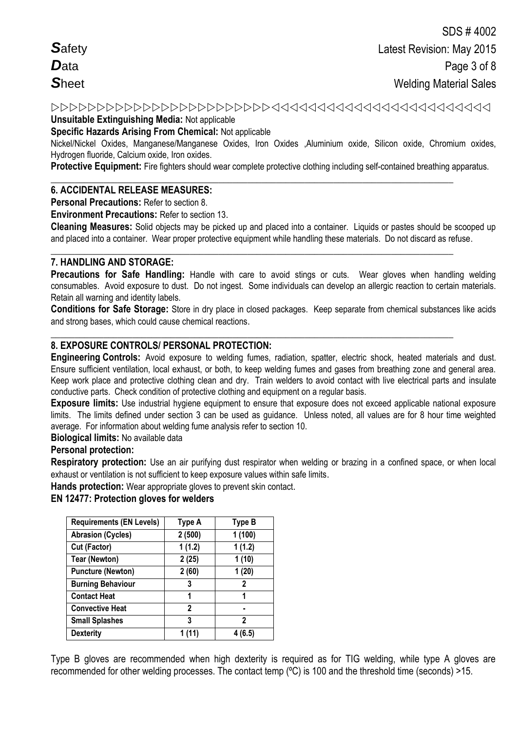**Specific Hazards Arising From Chemical:** Not applicable

Nickel/Nickel Oxides, Manganese/Manganese Oxides, Iron Oxides ,Aluminium oxide, Silicon oxide, Chromium oxides, Hydrogen fluoride, Calcium oxide, Iron oxides.

**Protective Equipment:** Fire fighters should wear complete protective clothing including self-contained breathing apparatus.

#### **\_\_\_\_\_\_\_\_\_\_\_\_\_\_\_\_\_\_\_\_\_\_\_\_\_\_\_\_\_\_\_\_\_\_\_\_\_\_\_\_\_\_\_\_\_\_\_\_\_\_\_\_\_\_\_\_\_\_\_\_\_\_\_\_\_\_\_\_\_\_\_\_\_\_\_\_\_\_\_\_\_\_\_\_ 6. ACCIDENTAL RELEASE MEASURES:**

**Personal Precautions:** Refer to section 8.

**Environment Precautions:** Refer to section 13.

**Cleaning Measures:** Solid objects may be picked up and placed into a container. Liquids or pastes should be scooped up and placed into a container. Wear proper protective equipment while handling these materials. Do not discard as refuse.

**\_\_\_\_\_\_\_\_\_\_\_\_\_\_\_\_\_\_\_\_\_\_\_\_\_\_\_\_\_\_\_\_\_\_\_\_\_\_\_\_\_\_\_\_\_\_\_\_\_\_\_\_\_\_\_\_\_\_\_\_\_\_\_\_\_\_\_\_\_\_\_\_\_\_\_\_\_\_\_\_\_\_\_\_**

**\_\_\_\_\_\_\_\_\_\_\_\_\_\_\_\_\_\_\_\_\_\_\_\_\_\_\_\_\_\_\_\_\_\_\_\_\_\_\_\_\_\_\_\_\_\_\_\_\_\_\_\_\_\_\_\_\_\_\_\_\_\_\_\_\_\_\_\_\_\_\_\_\_\_\_\_\_\_\_\_\_\_\_\_**

#### **7. HANDLING AND STORAGE:**

**Precautions for Safe Handling:** Handle with care to avoid stings or cuts. Wear gloves when handling welding consumables. Avoid exposure to dust. Do not ingest. Some individuals can develop an allergic reaction to certain materials. Retain all warning and identity labels.

**Conditions for Safe Storage:** Store in dry place in closed packages. Keep separate from chemical substances like acids and strong bases, which could cause chemical reactions.

#### **8. EXPOSURE CONTROLS/ PERSONAL PROTECTION:**

**Engineering Controls:** Avoid exposure to welding fumes, radiation, spatter, electric shock, heated materials and dust. Ensure sufficient ventilation, local exhaust, or both, to keep welding fumes and gases from breathing zone and general area. Keep work place and protective clothing clean and dry. Train welders to avoid contact with live electrical parts and insulate conductive parts. Check condition of protective clothing and equipment on a regular basis.

**Exposure limits:** Use industrial hygiene equipment to ensure that exposure does not exceed applicable national exposure limits. The limits defined under section 3 can be used as guidance. Unless noted, all values are for 8 hour time weighted average. For information about welding fume analysis refer to section 10.

**Biological limits:** No available data

#### **Personal protection:**

**Respiratory protection:** Use an air purifying dust respirator when welding or brazing in a confined space, or when local exhaust or ventilation is not sufficient to keep exposure values within safe limits.

**Hands protection:** Wear appropriate gloves to prevent skin contact.

#### **EN 12477: Protection gloves for welders**

| <b>Requirements (EN Levels)</b> | Type A      | Type B  |
|---------------------------------|-------------|---------|
| <b>Abrasion (Cycles)</b>        | 2(500)      | 1(100)  |
| Cut (Factor)                    | 1(1.2)      | 1(1.2)  |
| <b>Tear (Newton)</b>            | 2(25)       | 1(10)   |
| <b>Puncture (Newton)</b>        | 2(60)       | 1(20)   |
| <b>Burning Behaviour</b>        | 3           | 2       |
| <b>Contact Heat</b>             | 1           | 1       |
| <b>Convective Heat</b>          | $\mathbf 2$ |         |
| <b>Small Splashes</b>           | 3           | 2       |
| <b>Dexterity</b>                | 1 (11)      | 4 (6.5) |
|                                 |             |         |

Type B gloves are recommended when high dexterity is required as for TIG welding, while type A gloves are recommended for other welding processes. The contact temp (ºC) is 100 and the threshold time (seconds) >15.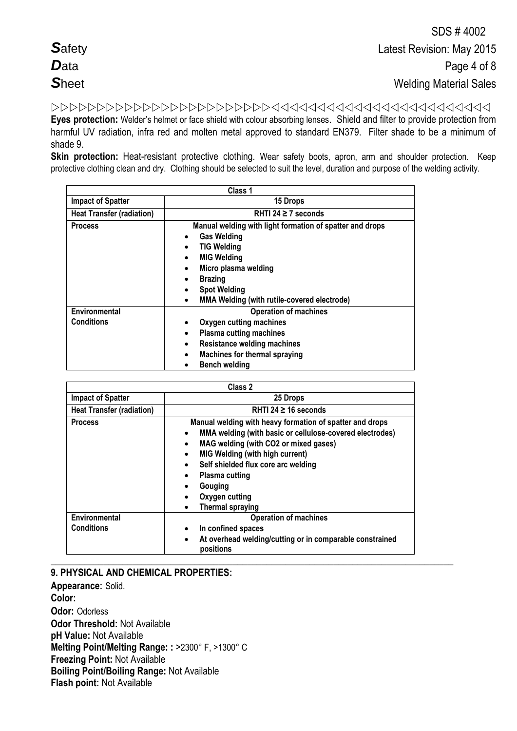**Eyes protection:** Welder's helmet or face shield with colour absorbing lenses. Shield and filter to provide protection from harmful UV radiation, infra red and molten metal approved to standard EN379. Filter shade to be a minimum of shade 9.

Skin protection: Heat-resistant protective clothing. Wear safety boots, apron, arm and shoulder protection. Keep protective clothing clean and dry. Clothing should be selected to suit the level, duration and purpose of the welding activity.

|                                    | Class 1                                                                                                                                                                                                                                                                         |
|------------------------------------|---------------------------------------------------------------------------------------------------------------------------------------------------------------------------------------------------------------------------------------------------------------------------------|
| <b>Impact of Spatter</b>           | 15 Drops                                                                                                                                                                                                                                                                        |
| <b>Heat Transfer (radiation)</b>   | RHTI 24 $\geq$ 7 seconds                                                                                                                                                                                                                                                        |
| <b>Process</b>                     | Manual welding with light formation of spatter and drops<br><b>Gas Welding</b><br>٠<br><b>TIG Welding</b><br><b>MIG Welding</b><br>٠<br>Micro plasma welding<br>٠<br><b>Brazing</b><br>٠<br><b>Spot Welding</b><br>٠<br><b>MMA Welding (with rutile-covered electrode)</b><br>٠ |
| Environmental<br><b>Conditions</b> | <b>Operation of machines</b><br>Oxygen cutting machines<br>٠<br><b>Plasma cutting machines</b><br>$\bullet$<br><b>Resistance welding machines</b><br>٠<br><b>Machines for thermal spraying</b><br>$\bullet$<br><b>Bench welding</b>                                             |

|                                  | Class 2                                                                                                                                                                                                                                                                                                                                                                      |  |  |
|----------------------------------|------------------------------------------------------------------------------------------------------------------------------------------------------------------------------------------------------------------------------------------------------------------------------------------------------------------------------------------------------------------------------|--|--|
| <b>Impact of Spatter</b>         | 25 Drops                                                                                                                                                                                                                                                                                                                                                                     |  |  |
| <b>Heat Transfer (radiation)</b> | RHTI 24 $\geq$ 16 seconds                                                                                                                                                                                                                                                                                                                                                    |  |  |
| <b>Process</b>                   | Manual welding with heavy formation of spatter and drops<br>MMA welding (with basic or cellulose-covered electrodes)<br>$\bullet$<br>MAG welding (with CO2 or mixed gases)<br><b>MIG Welding (with high current)</b><br>$\bullet$<br>Self shielded flux core arc welding<br>$\bullet$<br>Plasma cutting<br>Gouging<br>Oxygen cutting<br><b>Thermal spraying</b><br>$\bullet$ |  |  |
| Environmental                    | <b>Operation of machines</b>                                                                                                                                                                                                                                                                                                                                                 |  |  |
| <b>Conditions</b>                | In confined spaces<br>$\bullet$<br>At overhead welding/cutting or in comparable constrained<br>$\bullet$<br>positions                                                                                                                                                                                                                                                        |  |  |

**\_\_\_\_\_\_\_\_\_\_\_\_\_\_\_\_\_\_\_\_\_\_\_\_\_\_\_\_\_\_\_\_\_\_\_\_\_\_\_\_\_\_\_\_\_\_\_\_\_\_\_\_\_\_\_\_\_\_\_\_\_\_\_\_\_\_\_\_\_\_\_\_\_\_\_\_\_\_\_\_\_\_\_\_**

## **9. PHYSICAL AND CHEMICAL PROPERTIES: Appearance:** Solid. **Color: Odor:** Odorless **Odor Threshold:** Not Available **pH Value:** Not Available **Melting Point/Melting Range: :** >2300° F, >1300° C **Freezing Point:** Not Available **Boiling Point/Boiling Range:** Not Available **Flash point:** Not Available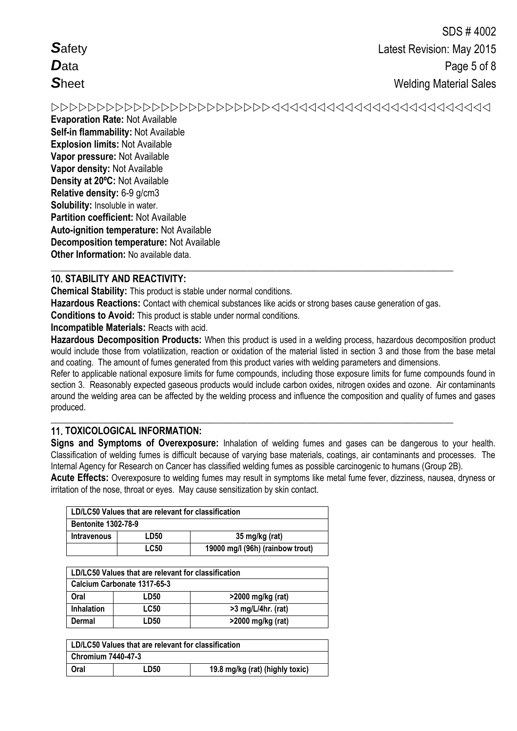**Evaporation Rate:** Not Available

**Self-in flammability:** Not Available **Explosion limits:** Not Available **Vapor pressure:** Not Available **Vapor density:** Not Available **Density at 20ºC:** Not Available **Relative density:** 6-9 g/cm3 **Solubility:** Insoluble in water. **Partition coefficient:** Not Available **Auto-ignition temperature:** Not Available **Decomposition temperature:** Not Available **Other Information:** No available data

#### 10. **STABILITY AND REACTIVITY:**

**Chemical Stability:** This product is stable under normal conditions.

**Hazardous Reactions:** Contact with chemical substances like acids or strong bases cause generation of gas.

**\_\_\_\_\_\_\_\_\_\_\_\_\_\_\_\_\_\_\_\_\_\_\_\_\_\_\_\_\_\_\_\_\_\_\_\_\_\_\_\_\_\_\_\_\_\_\_\_\_\_\_\_\_\_\_\_\_\_\_\_\_\_\_\_\_\_\_\_\_\_\_\_\_\_\_\_\_\_\_\_\_\_\_\_**

**Conditions to Avoid:** This product is stable under normal conditions.

**Incompatible Materials:** Reacts with acid.

**Hazardous Decomposition Products:** When this product is used in a welding process, hazardous decomposition product would include those from volatilization, reaction or oxidation of the material listed in section 3 and those from the base metal and coating. The amount of fumes generated from this product varies with welding parameters and dimensions.

Refer to applicable national exposure limits for fume compounds, including those exposure limits for fume compounds found in section 3. Reasonably expected gaseous products would include carbon oxides, nitrogen oxides and ozone. Air contaminants around the welding area can be affected by the welding process and influence the composition and quality of fumes and gases produced.

**\_\_\_\_\_\_\_\_\_\_\_\_\_\_\_\_\_\_\_\_\_\_\_\_\_\_\_\_\_\_\_\_\_\_\_\_\_\_\_\_\_\_\_\_\_\_\_\_\_\_\_\_\_\_\_\_\_\_\_\_\_\_\_\_\_\_\_\_\_\_\_\_\_\_\_\_\_\_\_\_\_\_\_\_**

## 11. **TOXICOLOGICAL INFORMATION:**

**Signs and Symptoms of Overexposure:** Inhalation of welding fumes and gases can be dangerous to your health. Classification of welding fumes is difficult because of varying base materials, coatings, air contaminants and processes. The Internal Agency for Research on Cancer has classified welding fumes as possible carcinogenic to humans (Group 2B).

**Acute Effects:** Overexposure to welding fumes may result in symptoms like metal fume fever, dizziness, nausea, dryness or irritation of the nose, throat or eyes. May cause sensitization by skin contact.

| LD/LC50 Values that are relevant for classification |             |                                  |  |  |
|-----------------------------------------------------|-------------|----------------------------------|--|--|
| <b>Bentonite 1302-78-9</b>                          |             |                                  |  |  |
| <b>Intravenous</b>                                  | LD50        | 35 mg/kg (rat)                   |  |  |
|                                                     | <b>LC50</b> | 19000 mg/l (96h) (rainbow trout) |  |  |

| LD/LC50 Values that are relevant for classification |             |                      |  |  |
|-----------------------------------------------------|-------------|----------------------|--|--|
| Calcium Carbonate 1317-65-3                         |             |                      |  |  |
| Oral                                                | LD50        | $>2000$ mg/kg (rat)  |  |  |
| <b>Inhalation</b>                                   | <b>LC50</b> | $>3$ mg/L/4hr. (rat) |  |  |
| Dermal                                              | LD50        | >2000 mg/kg (rat)    |  |  |

| LD/LC50 Values that are relevant for classification |  |  |  |  |
|-----------------------------------------------------|--|--|--|--|
| <b>Chromium 7440-47-3</b>                           |  |  |  |  |
| Oral<br>19.8 mg/kg (rat) (highly toxic)<br>LD50     |  |  |  |  |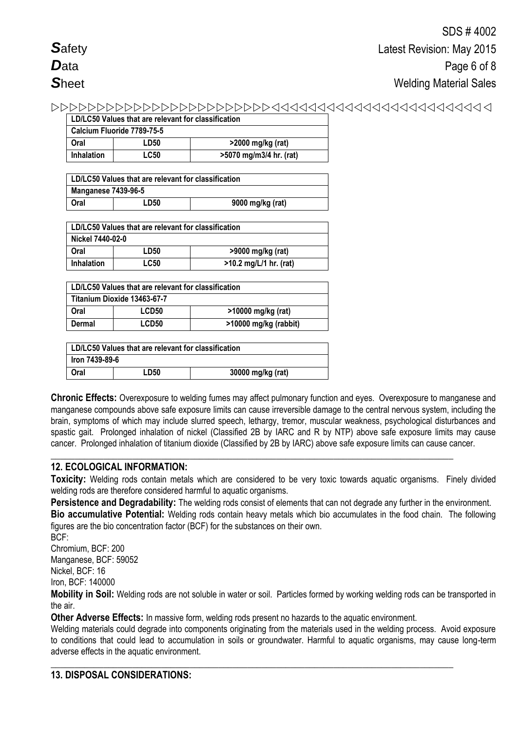| LD/LC50 Values that are relevant for classification         |      |                   |  |  |
|-------------------------------------------------------------|------|-------------------|--|--|
| Calcium Fluoride 7789-75-5                                  |      |                   |  |  |
| Oral                                                        | LD50 | >2000 mg/kg (rat) |  |  |
| <b>LC50</b><br>>5070 mg/m3/4 hr. (rat)<br><b>Inhalation</b> |      |                   |  |  |
|                                                             |      |                   |  |  |

**LD/LC50 Values that are relevant for classification Manganese 7439-96-5 Oral LD50 9000 mg/kg (rat)**

| LD/LC50 Values that are relevant for classification |             |                          |  |  |
|-----------------------------------------------------|-------------|--------------------------|--|--|
| Nickel 7440-02-0                                    |             |                          |  |  |
| Oral                                                | LD50        | >9000 mg/kg (rat)        |  |  |
| <b>Inhalation</b>                                   | <b>LC50</b> | $>10.2$ mg/L/1 hr. (rat) |  |  |

| LD/LC50 Values that are relevant for classification |       |                       |  |  |
|-----------------------------------------------------|-------|-----------------------|--|--|
| Titanium Dioxide 13463-67-7                         |       |                       |  |  |
| Oral                                                | LCD50 | >10000 mg/kg (rat)    |  |  |
| Dermal                                              | LCD50 | >10000 mg/kg (rabbit) |  |  |

| LD/LC50 Values that are relevant for classification |      |                   |  |  |
|-----------------------------------------------------|------|-------------------|--|--|
| lron 7439-89-6                                      |      |                   |  |  |
| Oral                                                | LD50 | 30000 mg/kg (rat) |  |  |

**Chronic Effects:** Overexposure to welding fumes may affect pulmonary function and eyes. Overexposure to manganese and manganese compounds above safe exposure limits can cause irreversible damage to the central nervous system, including the brain, symptoms of which may include slurred speech, lethargy, tremor, muscular weakness, psychological disturbances and spastic gait. Prolonged inhalation of nickel (Classified 2B by IARC and R by NTP) above safe exposure limits may cause cancer. Prolonged inhalation of titanium dioxide (Classified by 2B by IARC) above safe exposure limits can cause cancer.

## **12. ECOLOGICAL INFORMATION:**

**Toxicity:** Welding rods contain metals which are considered to be very toxic towards aquatic organisms. Finely divided welding rods are therefore considered harmful to aquatic organisms.

**\_\_\_\_\_\_\_\_\_\_\_\_\_\_\_\_\_\_\_\_\_\_\_\_\_\_\_\_\_\_\_\_\_\_\_\_\_\_\_\_\_\_\_\_\_\_\_\_\_\_\_\_\_\_\_\_\_\_\_\_\_\_\_\_\_\_\_\_\_\_\_\_\_\_\_\_\_\_\_\_\_\_\_\_**

**Persistence and Degradability:** The welding rods consist of elements that can not degrade any further in the environment. **Bio accumulative Potential:** Welding rods contain heavy metals which bio accumulates in the food chain. The following figures are the bio concentration factor (BCF) for the substances on their own.

BCF: Chromium, BCF: 200

Manganese, BCF: 59052

Nickel, BCF: 16

Iron, BCF: 140000

**Mobility in Soil:** Welding rods are not soluble in water or soil. Particles formed by working welding rods can be transported in the air.

**\_\_\_\_\_\_\_\_\_\_\_\_\_\_\_\_\_\_\_\_\_\_\_\_\_\_\_\_\_\_\_\_\_\_\_\_\_\_\_\_\_\_\_\_\_\_\_\_\_\_\_\_\_\_\_\_\_\_\_\_\_\_\_\_\_\_\_\_\_\_\_\_\_\_\_\_\_\_\_\_\_\_\_\_**

**Other Adverse Effects:** In massive form, welding rods present no hazards to the aquatic environment.

Welding materials could degrade into components originating from the materials used in the welding process. Avoid exposure to conditions that could lead to accumulation in soils or groundwater. Harmful to aquatic organisms, may cause long-term adverse effects in the aquatic environment.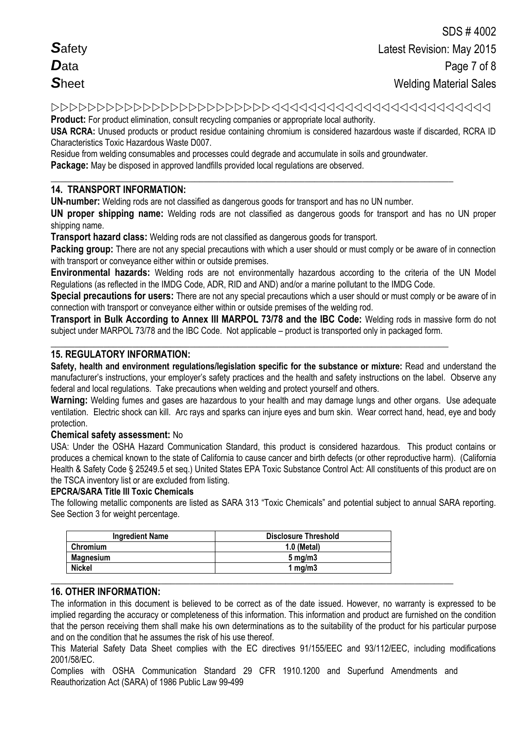**Product:** For product elimination, consult recycling companies or appropriate local authority.

**USA RCRA:** Unused products or product residue containing chromium is considered hazardous waste if discarded, RCRA ID

**\_\_\_\_\_\_\_\_\_\_\_\_\_\_\_\_\_\_\_\_\_\_\_\_\_\_\_\_\_\_\_\_\_\_\_\_\_\_\_\_\_\_\_\_\_\_\_\_\_\_\_\_\_\_\_\_\_\_\_\_\_\_\_\_\_\_\_\_\_\_\_\_\_\_\_\_\_\_\_\_\_\_\_\_**

Characteristics Toxic Hazardous Waste D007.

Residue from welding consumables and processes could degrade and accumulate in soils and groundwater.

**Package:** May be disposed in approved landfills provided local regulations are observed.

#### **14. TRANSPORT INFORMATION:**

**UN-number:** Welding rods are not classified as dangerous goods for transport and has no UN number.

**UN proper shipping name:** Welding rods are not classified as dangerous goods for transport and has no UN proper shipping name.

**Transport hazard class:** Welding rods are not classified as dangerous goods for transport.

Packing group: There are not any special precautions with which a user should or must comply or be aware of in connection with transport or conveyance either within or outside premises.

**Environmental hazards:** Welding rods are not environmentally hazardous according to the criteria of the UN Model Regulations (as reflected in the IMDG Code, ADR, RID and AND) and/or a marine pollutant to the IMDG Code.

**Special precautions for users:** There are not any special precautions which a user should or must comply or be aware of in connection with transport or conveyance either within or outside premises of the welding rod.

**Transport in Bulk According to Annex III MARPOL 73/78 and the IBC Code:** Welding rods in massive form do not subject under MARPOL 73/78 and the IBC Code. Not applicable – product is transported only in packaged form.

**\_\_\_\_\_\_\_\_\_\_\_\_\_\_\_\_\_\_\_\_\_\_\_\_\_\_\_\_\_\_\_\_\_\_\_\_\_\_\_\_\_\_\_\_\_\_\_\_\_\_\_\_\_\_\_\_\_\_\_\_\_\_\_\_\_\_\_\_\_\_\_\_\_\_\_\_\_\_\_\_\_\_\_**

#### **15. REGULATORY INFORMATION:**

Safety, health and environment regulations/legislation specific for the substance or mixture: Read and understand the manufacturer's instructions, your employer's safety practices and the health and safety instructions on the label. Observe any federal and local regulations. Take precautions when welding and protect yourself and others.

**Warning:** Welding fumes and gases are hazardous to your health and may damage lungs and other organs. Use adequate ventilation.Electric shock can kill. Arc rays and sparks can injure eyes and burn skin. Wear correct hand, head, eye and body protection.

#### **Chemical safety assessment:** No

USA: Under the OSHA Hazard Communication Standard, this product is considered hazardous. This product contains or produces a chemical known to the state of California to cause cancer and birth defects (or other reproductive harm). (California Health & Safety Code § 25249.5 et seq.) United States EPA Toxic Substance Control Act: All constituents of this product are on the TSCA inventory list or are excluded from listing.

#### **EPCRA/SARA Title III Toxic Chemicals**

The following metallic components are listed as SARA 313 "Toxic Chemicals" and potential subject to annual SARA reporting. See Section 3 for weight percentage.

| <b>Ingredient Name</b> | <b>Disclosure Threshold</b> |
|------------------------|-----------------------------|
| Chromium               | 1.0 (Metal)                 |
| <b>Magnesium</b>       | $5 \text{ mg/m}$            |
| <b>Nickel</b>          | ma/m3                       |

## **16. OTHER INFORMATION:**

The information in this document is believed to be correct as of the date issued. However, no warranty is expressed to be implied regarding the accuracy or completeness of this information. This information and product are furnished on the condition that the person receiving them shall make his own determinations as to the suitability of the product for his particular purpose and on the condition that he assumes the risk of his use thereof.

This Material Safety Data Sheet complies with the EC directives 91/155/EEC and 93/112/EEC, including modifications 2001/58/EC.

Complies with OSHA Communication Standard 29 CFR 1910.1200 and Superfund Amendments and Reauthorization Act (SARA) of 1986 Public Law 99-499